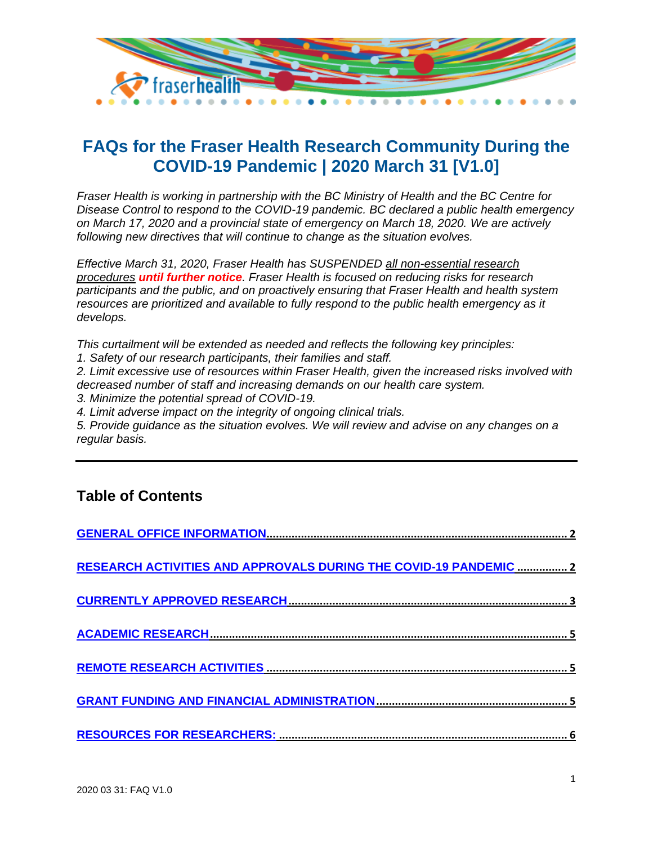

# **FAQs for the Fraser Health Research Community During the COVID-19 Pandemic | 2020 March 31 [V1.0]**

*Fraser Health is working in partnership with the BC Ministry of Health and the BC Centre for Disease Control to respond to the COVID-19 pandemic. BC declared a public health emergency on March 17, 2020 and a provincial state of emergency on March 18, 2020. We are actively following new directives that will continue to change as the situation evolves.* 

*Effective March 31, 2020, Fraser Health has SUSPENDED all non-essential research procedures until further notice. Fraser Health is focused on reducing risks for research participants and the public, and on proactively ensuring that Fraser Health and health system resources are prioritized and available to fully respond to the public health emergency as it develops.* 

*This curtailment will be extended as needed and reflects the following key principles:* 

*1. Safety of our research participants, their families and staff.* 

*2. Limit excessive use of resources within Fraser Health, given the increased risks involved with decreased number of staff and increasing demands on our health care system.* 

*3. Minimize the potential spread of COVID-19.* 

*4. Limit adverse impact on the integrity of ongoing clinical trials.* 

*5. Provide guidance as the situation evolves. We will review and advise on any changes on a regular basis.*

# **Table of Contents**

| RESEARCH ACTIVITIES AND APPROVALS DURING THE COVID-19 PANDEMIC  2 |
|-------------------------------------------------------------------|
|                                                                   |
|                                                                   |
|                                                                   |
|                                                                   |
|                                                                   |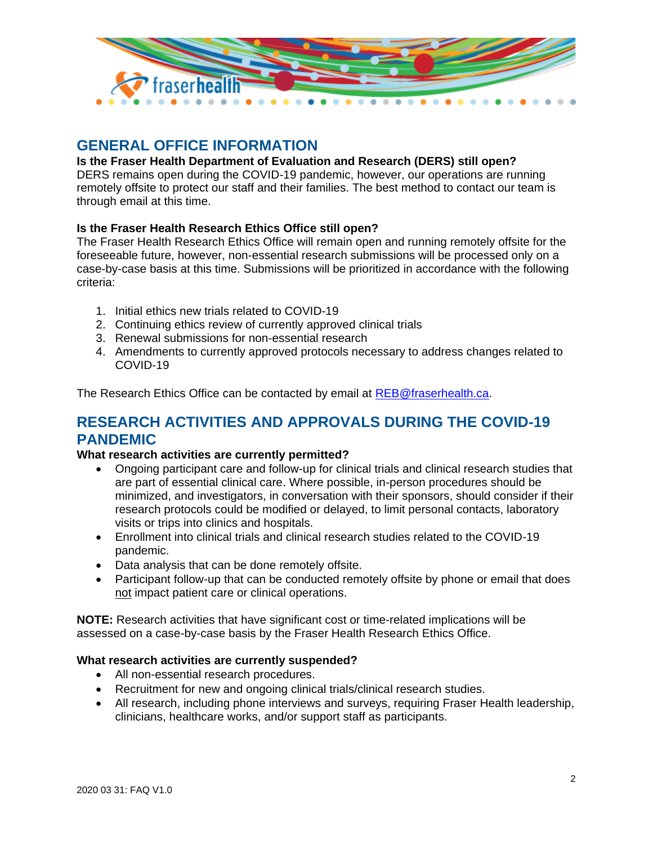

# <span id="page-1-0"></span>**GENERAL OFFICE INFORMATION**

# **Is the Fraser Health Department of Evaluation and Research (DERS) still open?**

DERS remains open during the COVID-19 pandemic, however, our operations are running remotely offsite to protect our staff and their families. The best method to contact our team is through email at this time.

# **Is the Fraser Health Research Ethics Office still open?**

The Fraser Health Research Ethics Office will remain open and running remotely offsite for the foreseeable future, however, non-essential research submissions will be processed only on a case-by-case basis at this time. Submissions will be prioritized in accordance with the following criteria:

- 1. Initial ethics new trials related to COVID-19
- 2. Continuing ethics review of currently approved clinical trials
- 3. Renewal submissions for non-essential research
- 4. Amendments to currently approved protocols necessary to address changes related to COVID-19

The Research Ethics Office can be contacted by email at [REB@fraserhealth.ca.](mailto:REB@fraserhealth.ca)

# <span id="page-1-1"></span>**RESEARCH ACTIVITIES AND APPROVALS DURING THE COVID-19 PANDEMIC**

#### **What research activities are currently permitted?**

- Ongoing participant care and follow-up for clinical trials and clinical research studies that are part of essential clinical care. Where possible, in-person procedures should be minimized, and investigators, in conversation with their sponsors, should consider if their research protocols could be modified or delayed, to limit personal contacts, laboratory visits or trips into clinics and hospitals.
- Enrollment into clinical trials and clinical research studies related to the COVID-19 pandemic.
- Data analysis that can be done remotely offsite.
- Participant follow-up that can be conducted remotely offsite by phone or email that does not impact patient care or clinical operations.

**NOTE:** Research activities that have significant cost or time-related implications will be assessed on a case-by-case basis by the Fraser Health Research Ethics Office.

#### **What research activities are currently suspended?**

- All non-essential research procedures.
- Recruitment for new and ongoing clinical trials/clinical research studies.
- All research, including phone interviews and surveys, requiring Fraser Health leadership, clinicians, healthcare works, and/or support staff as participants.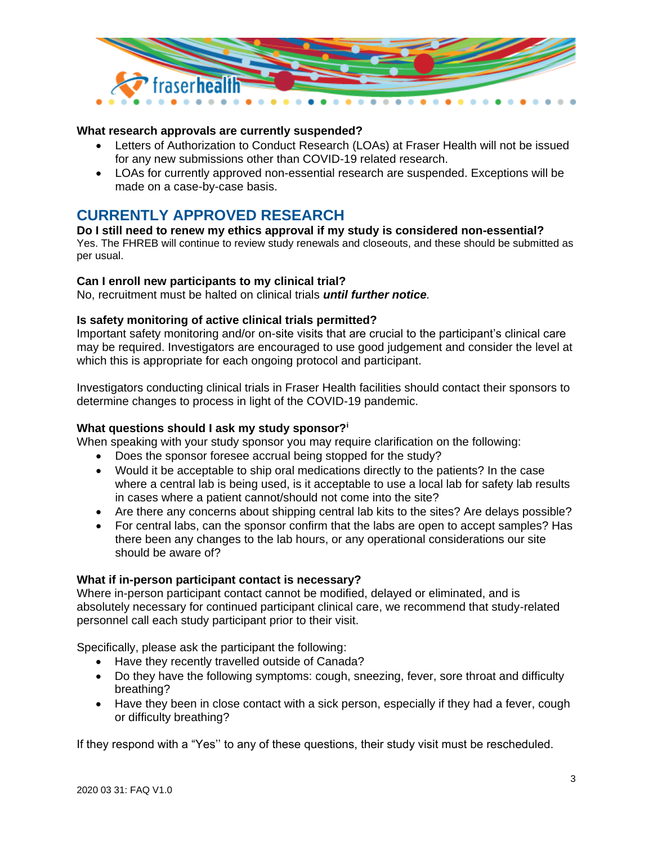

### **What research approvals are currently suspended?**

- Letters of Authorization to Conduct Research (LOAs) at Fraser Health will not be issued for any new submissions other than COVID-19 related research.
- LOAs for currently approved non-essential research are suspended. Exceptions will be made on a case-by-case basis.

# <span id="page-2-0"></span>**CURRENTLY APPROVED RESEARCH**

#### **Do I still need to renew my ethics approval if my study is considered non-essential?**

Yes. The FHREB will continue to review study renewals and closeouts, and these should be submitted as per usual.

#### **Can I enroll new participants to my clinical trial?**

No, recruitment must be halted on clinical trials *until further notice.*

#### **Is safety monitoring of active clinical trials permitted?**

Important safety monitoring and/or on-site visits that are crucial to the participant's clinical care may be required. Investigators are encouraged to use good judgement and consider the level at which this is appropriate for each ongoing protocol and participant.

Investigators conducting clinical trials in Fraser Health facilities should contact their sponsors to determine changes to process in light of the COVID-19 pandemic.

#### **What questions should I ask my study sponsor?<sup>i</sup>**

When speaking with your study sponsor you may require clarification on the following:

- Does the sponsor foresee accrual being stopped for the study?
- Would it be acceptable to ship oral medications directly to the patients? In the case where a central lab is being used, is it acceptable to use a local lab for safety lab results in cases where a patient cannot/should not come into the site?
- Are there any concerns about shipping central lab kits to the sites? Are delays possible?
- For central labs, can the sponsor confirm that the labs are open to accept samples? Has there been any changes to the lab hours, or any operational considerations our site should be aware of?

#### **What if in-person participant contact is necessary?**

Where in-person participant contact cannot be modified, delayed or eliminated, and is absolutely necessary for continued participant clinical care, we recommend that study-related personnel call each study participant prior to their visit.

Specifically, please ask the participant the following:

- Have they recently travelled outside of Canada?
- Do they have the following symptoms: cough, sneezing, fever, sore throat and difficulty breathing?
- Have they been in close contact with a sick person, especially if they had a fever, cough or difficulty breathing?

If they respond with a "Yes'' to any of these questions, their study visit must be rescheduled.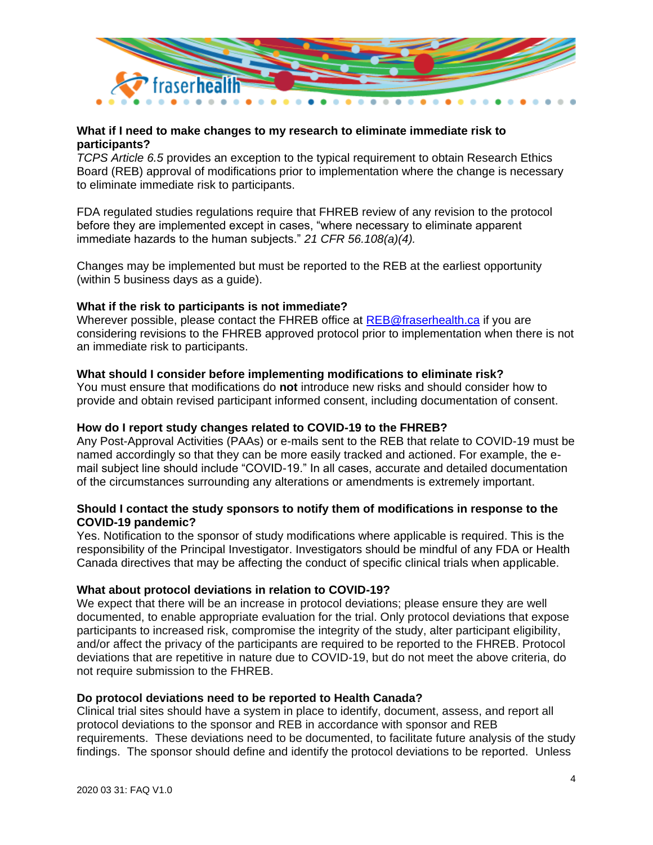

### **What if I need to make changes to my research to eliminate immediate risk to participants?**

*TCPS Article 6.5* provides an exception to the typical requirement to obtain Research Ethics Board (REB) approval of modifications prior to implementation where the change is necessary to eliminate immediate risk to participants.

FDA regulated studies regulations require that FHREB review of any revision to the protocol before they are implemented except in cases, "where necessary to eliminate apparent immediate hazards to the human subjects." *21 CFR 56.108(a)(4).*

Changes may be implemented but must be reported to the REB at the earliest opportunity (within 5 business days as a guide).

### **What if the risk to participants is not immediate?**

Wherever possible, please contact the FHREB office at [REB@fraserhealth.ca](mailto:REB@fraserhealth.ca) if you are considering revisions to the FHREB approved protocol prior to implementation when there is not an immediate risk to participants.

#### **What should I consider before implementing modifications to eliminate risk?**

You must ensure that modifications do **not** introduce new risks and should consider how to provide and obtain revised participant informed consent, including documentation of consent.

#### **How do I report study changes related to COVID-19 to the FHREB?**

Any Post-Approval Activities (PAAs) or e-mails sent to the REB that relate to COVID-19 must be named accordingly so that they can be more easily tracked and actioned. For example, the email subject line should include "COVID-19." In all cases, accurate and detailed documentation of the circumstances surrounding any alterations or amendments is extremely important.

### **Should I contact the study sponsors to notify them of modifications in response to the COVID-19 pandemic?**

Yes. Notification to the sponsor of study modifications where applicable is required. This is the responsibility of the Principal Investigator. Investigators should be mindful of any FDA or Health Canada directives that may be affecting the conduct of specific clinical trials when applicable.

#### **What about protocol deviations in relation to COVID-19?**

We expect that there will be an increase in protocol deviations; please ensure they are well documented, to enable appropriate evaluation for the trial. Only protocol deviations that expose participants to increased risk, compromise the integrity of the study, alter participant eligibility, and/or affect the privacy of the participants are required to be reported to the FHREB. Protocol deviations that are repetitive in nature due to COVID-19, but do not meet the above criteria, do not require submission to the FHREB.

#### **Do protocol deviations need to be reported to Health Canada?**

Clinical trial sites should have a system in place to identify, document, assess, and report all protocol deviations to the sponsor and REB in accordance with sponsor and REB requirements. These deviations need to be documented, to facilitate future analysis of the study findings. The sponsor should define and identify the protocol deviations to be reported. Unless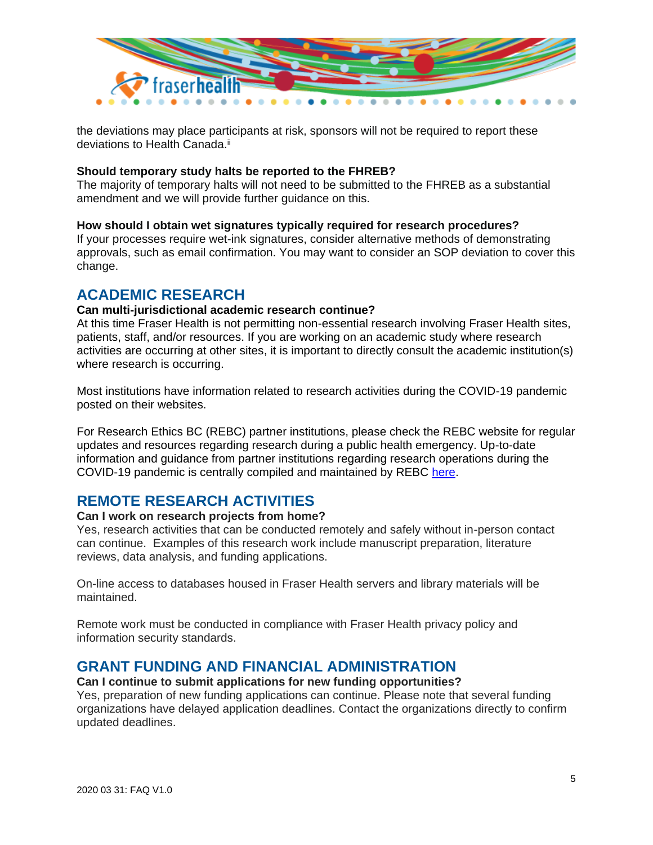

the deviations may place participants at risk, sponsors will not be required to report these deviations to Health Canada.<sup>ii</sup>

#### **Should temporary study halts be reported to the FHREB?**

The majority of temporary halts will not need to be submitted to the FHREB as a substantial amendment and we will provide further guidance on this.

#### **How should I obtain wet signatures typically required for research procedures?**

If your processes require wet-ink signatures, consider alternative methods of demonstrating approvals, such as email confirmation. You may want to consider an SOP deviation to cover this change.

# <span id="page-4-0"></span>**ACADEMIC RESEARCH**

#### **Can multi-jurisdictional academic research continue?**

At this time Fraser Health is not permitting non-essential research involving Fraser Health sites, patients, staff, and/or resources. If you are working on an academic study where research activities are occurring at other sites, it is important to directly consult the academic institution(s) where research is occurring.

Most institutions have information related to research activities during the COVID-19 pandemic posted on their websites.

For Research Ethics BC (REBC) partner institutions, please check the REBC website for regular updates and resources regarding research during a public health emergency. Up-to-date information and guidance from partner institutions regarding research operations during the COVID-19 pandemic is centrally compiled and maintained by REBC [here.](https://researchethicsbc.ca/resources-for-research-ethics-during-a-public-health-emergency/)

# <span id="page-4-1"></span>**REMOTE RESEARCH ACTIVITIES**

#### **Can I work on research projects from home?**

Yes, research activities that can be conducted remotely and safely without in-person contact can continue. Examples of this research work include manuscript preparation, literature reviews, data analysis, and funding applications.

On-line access to databases housed in Fraser Health servers and library materials will be maintained.

Remote work must be conducted in compliance with Fraser Health privacy policy and information security standards.

# <span id="page-4-2"></span>**GRANT FUNDING AND FINANCIAL ADMINISTRATION**

#### **Can I continue to submit applications for new funding opportunities?**

Yes, preparation of new funding applications can continue. Please note that several funding organizations have delayed application deadlines. Contact the organizations directly to confirm updated deadlines.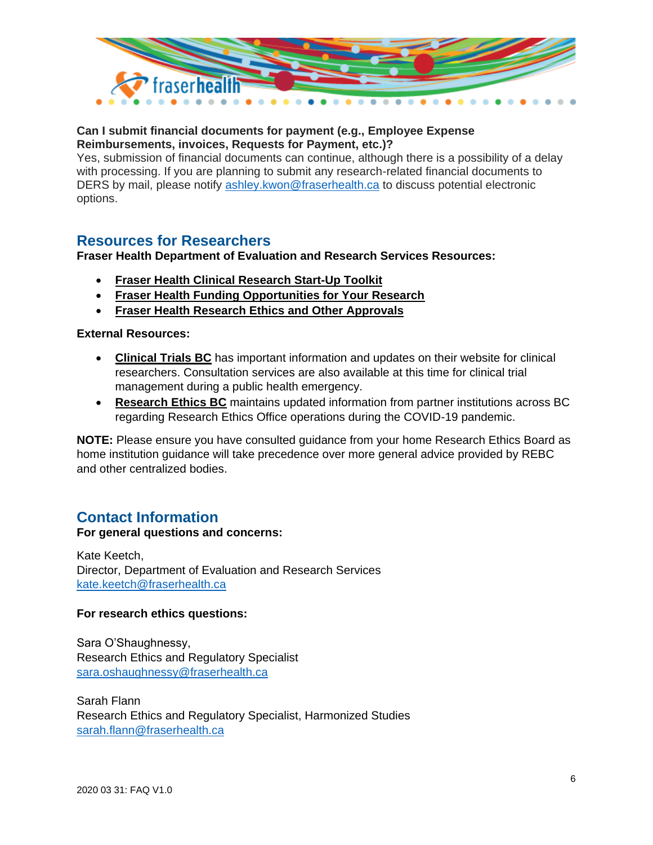

# **Can I submit financial documents for payment (e.g., Employee Expense Reimbursements, invoices, Requests for Payment, etc.)?**

Yes, submission of financial documents can continue, although there is a possibility of a delay with processing. If you are planning to submit any research-related financial documents to DERS by mail, please notify [ashley.kwon@fraserhealth.ca](mailto:ashley.kwon@fraserhealth.ca) to discuss potential electronic options.

# <span id="page-5-0"></span>**Resources for Researchers**

# **Fraser Health Department of Evaluation and Research Services Resources:**

- **[Fraser Health Clinical Research Start-Up Toolkit](https://www.fraserhealth.ca/employees/research-and-evaluation/find-resources/clinical-research-startup-toolkit#.XnzPu75KjIV)**
- **[Fraser Health Funding Opportunities for Your Research](https://www.fraserhealth.ca/employees/research-and-evaluation/funding-opportunities-for-your-research#.XnzPXr5KjIU)**
- **[Fraser Health Research Ethics and Other Approvals](https://www.fraserhealth.ca/employees/research-and-evaluation/research-ethics-and-other-approvals#.XnzP975KjIU)**

# **External Resources:**

- **[Clinical Trials BC](https://www.clinicaltrialsbc.ca/updates-for-clinical-trials-bc-regarding-covid-19/)** has important information and updates on their website for clinical researchers. Consultation services are also available at this time for clinical trial management during a public health emergency.
- **[Research Ethics BC](https://researchethicsbc.ca/resources-for-research-ethics-during-a-public-health-emergency/)** maintains updated information from partner institutions across BC regarding Research Ethics Office operations during the COVID-19 pandemic.

**NOTE:** Please ensure you have consulted guidance from your home Research Ethics Board as home institution guidance will take precedence over more general advice provided by REBC and other centralized bodies.

# **Contact Information**

# **For general questions and concerns:**

Kate Keetch, Director, Department of Evaluation and Research Services [kate.keetch@fraserhealth.ca](mailto:kate.keetch@fraserhealth.ca)

# **For research ethics questions:**

Sara O'Shaughnessy, Research Ethics and Regulatory Specialist [sara.oshaughnessy@fraserhealth.ca](mailto:sara.oshaughnessy@fraserhealth.ca)

Sarah Flann Research Ethics and Regulatory Specialist, Harmonized Studies [sarah.flann@fraserhealth.ca](mailto:sarah.flann@fraserhealth.ca)